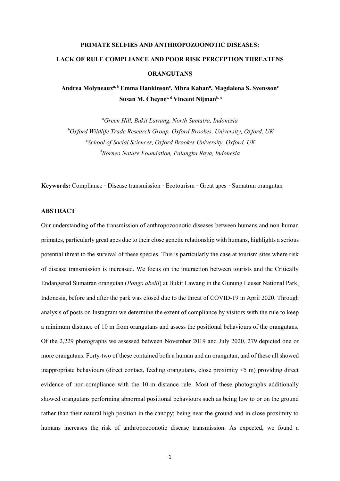# **PRIMATE SELFIES AND ANTHROPOZOONOTIC DISEASES: LACK OF RULE COMPLIANCE AND POOR RISK PERCEPTION THREATENS ORANGUTANS**

**Andrea Molyneauxa, b Emma Hankinson<sup>c</sup> , Mbra Kaban<sup>a</sup> , Magdalena S. Svensson<sup>c</sup> Susan M. Cheynec, d Vincent Nijmanb, c**

*<sup>a</sup>Green Hill, Bukit Lawang, North Sumatra, Indonesia <sup>b</sup>Oxford Wildlife Trade Research Group, Oxford Brookes, University, Oxford, UK c School of Social Sciences, Oxford Brookes University, Oxford, UK <sup>d</sup>Borneo Nature Foundation, Palangka Raya, Indonesia* 

**Keywords:** Compliance · Disease transmission · Ecotourism · Great apes · Sumatran orangutan

# **ABSTRACT**

Our understanding of the transmission of anthropozoonotic diseases between humans and non-human primates, particularly great apes due to their close genetic relationship with humans, highlights a serious potential threat to the survival of these species. This is particularly the case at tourism sites where risk of disease transmission is increased. We focus on the interaction between tourists and the Critically Endangered Sumatran orangutan (*Pongo abelii*) at Bukit Lawang in the Gunung Leuser National Park, Indonesia, before and after the park was closed due to the threat of COVID-19 in April 2020. Through analysis of posts on Instagram we determine the extent of compliance by visitors with the rule to keep a minimum distance of 10 m from orangutans and assess the positional behaviours of the orangutans. Of the 2,229 photographs we assessed between November 2019 and July 2020, 279 depicted one or more orangutans. Forty-two of these contained both a human and an orangutan, and of these all showed inappropriate behaviours (direct contact, feeding orangutans, close proximity <5 m) providing direct evidence of non-compliance with the 10-m distance rule. Most of these photographs additionally showed orangutans performing abnormal positional behaviours such as being low to or on the ground rather than their natural high position in the canopy; being near the ground and in close proximity to humans increases the risk of anthropozoonotic disease transmission. As expected, we found a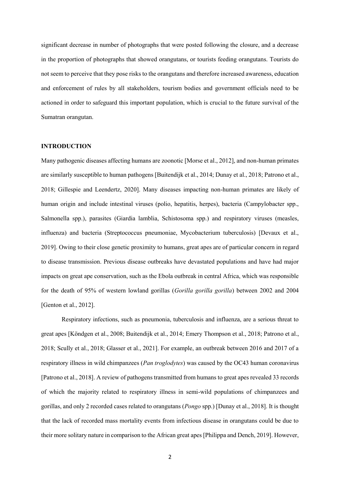significant decrease in number of photographs that were posted following the closure, and a decrease in the proportion of photographs that showed orangutans, or tourists feeding orangutans. Tourists do not seem to perceive that they pose risks to the orangutans and therefore increased awareness, education and enforcement of rules by all stakeholders, tourism bodies and government officials need to be actioned in order to safeguard this important population, which is crucial to the future survival of the Sumatran orangutan.

#### **INTRODUCTION**

Many pathogenic diseases affecting humans are zoonotic [Morse et al., 2012], and non-human primates are similarly susceptible to human pathogens [Buitendijk et al., 2014; Dunay et al., 2018; Patrono et al., 2018; Gillespie and Leendertz, 2020]. Many diseases impacting non-human primates are likely of human origin and include intestinal viruses (polio, hepatitis, herpes), bacteria (Campylobacter spp., Salmonella spp.), parasites (Giardia lamblia, Schistosoma spp.) and respiratory viruses (measles, influenza) and bacteria (Streptococcus pneumoniae, Mycobacterium tuberculosis) [Devaux et al., 2019]. Owing to their close genetic proximity to humans, great apes are of particular concern in regard to disease transmission. Previous disease outbreaks have devastated populations and have had major impacts on great ape conservation, such as the Ebola outbreak in central Africa, which was responsible for the death of 95% of western lowland gorillas (*Gorilla gorilla gorilla*) between 2002 and 2004 [Genton et al., 2012].

Respiratory infections, such as pneumonia, tuberculosis and influenza, are a serious threat to great apes [Köndgen et al., 2008; Buitendijk et al., 2014; Emery Thompson et al., 2018; Patrono et al., 2018; Scully et al., 2018; Glasser et al., 2021]. For example, an outbreak between 2016 and 2017 of a respiratory illness in wild chimpanzees (*Pan troglodytes*) was caused by the OC43 human coronavirus [Patrono et al., 2018]. A review of pathogens transmitted from humans to great apes revealed 33 records of which the majority related to respiratory illness in semi-wild populations of chimpanzees and gorillas, and only 2 recorded cases related to orangutans (*Pongo* spp.) [Dunay et al., 2018]. It is thought that the lack of recorded mass mortality events from infectious disease in orangutans could be due to their more solitary nature in comparison to the African great apes [Philippa and Dench, 2019]. However,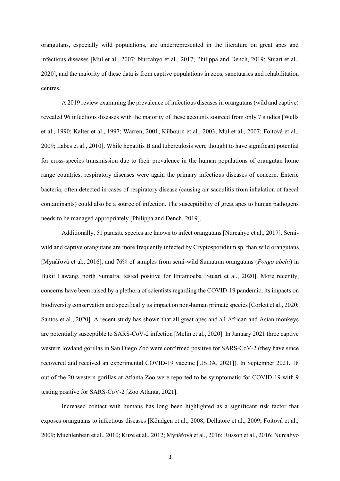orangutans, especially wild populations, are underrepresented in the literature on great apes and infectious diseases [Mul et al., 2007; Nurcahyo et al., 2017; Philippa and Dench, 2019; Stuart et al., 2020], and the majority of these data is from captive populations in zoos, sanctuaries and rehabilitation centres.

A 2019 review examining the prevalence of infectious diseases in orangutans (wild and captive) revealed 96 infectious diseases with the majority of these accounts sourced from only 7 studies [Wells et al., 1990; Kalter et al., 1997; Warren, 2001; Kilbourn et al., 2003; Mul et al., 2007; Foitová et al., 2009; Labes et al., 2010]. While hepatitis B and tuberculosis were thought to have significant potential for cross-species transmission due to their prevalence in the human populations of orangutan home range countries, respiratory diseases were again the primary infectious diseases of concern. Enteric bacteria, often detected in cases of respiratory disease (causing air sacculitis from inhalation of faecal contaminants) could also be a source of infection. The susceptibility of great apes to human pathogens needs to be managed appropriately [Philippa and Dench, 2019].

Additionally, 51 parasite species are known to infect orangutans [Nurcahyo et al., 2017]. Semiwild and captive orangutans are more frequently infected by Cryptosporidium sp. than wild orangutans [Mynářová et al., 2016], and 76% of samples from semi-wild Sumatran orangutans (*Pongo abelii*) in Bukit Lawang, north Sumatra, tested positive for Entamoeba [Stuart et al., 2020]. More recently, concerns have been raised by a plethora of scientists regarding the COVID-19 pandemic, its impacts on biodiversity conservation and specifically its impact on non-human primate species [Corlett et al., 2020; Santos et al., 2020]. A recent study has shown that all great apes and all African and Asian monkeys are potentially susceptible to SARS-CoV-2 infection [Melin et al., 2020]. In January 2021 three captive western lowland gorillas in San Diego Zoo were confirmed positive for SARS-CoV-2 (they have since recovered and received an experimental COVID-19 vaccine [USDA, 2021]). In September 2021, 18 out of the 20 western gorillas at Atlanta Zoo were reported to be symptomatic for COVID-19 with 9 testing positive for SARS-CoV-2 [Zoo Atlanta, 2021].

Increased contact with humans has long been highlighted as a significant risk factor that exposes orangutans to infectious diseases [Köndgen et al., 2008; Dellatore et al., 2009; Foitová et al., 2009; Muehlenbein et al., 2010; Kuze et al., 2012; Mynářová et al., 2016; Russon et al., 2016; Nurcahyo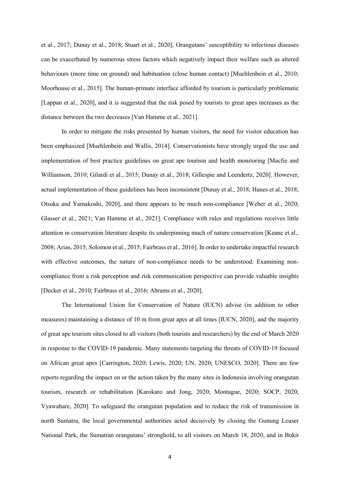et al., 2017; Dunay et al., 2018; Stuart et al., 2020]. Orangutans' susceptibility to infectious diseases can be exacerbated by numerous stress factors which negatively impact their welfare such as altered behaviours (more time on ground) and habituation (close human contact) [Muehlenbein et al., 2010; Moorhouse et al., 2015]. The human-primate interface afforded by tourism is particularly problematic [Lappan et al., 2020], and it is suggested that the risk posed by tourists to great apes increases as the distance between the two decreases [Van Hamme et al., 2021].

In order to mitigate the risks presented by human visitors, the need for visitor education has been emphasized [Muehlenbein and Wallis, 2014]. Conservationists have strongly urged the use and implementation of best practice guidelines on great ape tourism and health monitoring [Macfie and Williamson, 2010; Gilardi et al., 2015; Dunay et al., 2018; Gillespie and Leendertz, 2020]. However, actual implementation of these guidelines has been inconsistent [Dunay et al., 2018; Hanes et al., 2018; Otsuka and Yamakoshi, 2020], and there appears to be much non-compliance [Weber et al., 2020; Glasser et al., 2021; Van Hamme et al., 2021]. Compliance with rules and regulations receives little attention in conservation literature despite its underpinning much of nature conservation [Keane et al., 2008; Arias, 2015; Solomon et al., 2015; Fairbrass et al., 2016]. In order to undertake impactful research with effective outcomes, the nature of non-compliance needs to be understood. Examining noncompliance from a risk perception and risk communication perspective can provide valuable insights [Decker et al., 2010; Fairbrass et al., 2016; Abrams et al., 2020].

The International Union for Conservation of Nature (IUCN) advise (in addition to other measures) maintaining a distance of 10 m from great apes at all times [IUCN, 2020], and the majority of great ape tourism sites closed to all visitors (both tourists and researchers) by the end of March 2020 in response to the COVID-19 pandemic. Many statements targeting the threats of COVID-19 focused on African great apes [Carrington, 2020; Lewis, 2020; UN, 2020; UNESCO, 2020]. There are few reports regarding the impact on or the action taken by the many sites in Indonesia involving orangutan tourism, research or rehabilitation [Karokaro and Jong, 2020; Montague, 2020; SOCP, 2020; Vyawahare, 2020]. To safeguard the orangutan population and to reduce the risk of transmission in north Sumatra, the local governmental authorities acted decisively by closing the Gunung Leuser National Park, the Sumatran orangutans' stronghold, to all visitors on March 18, 2020, and in Bukit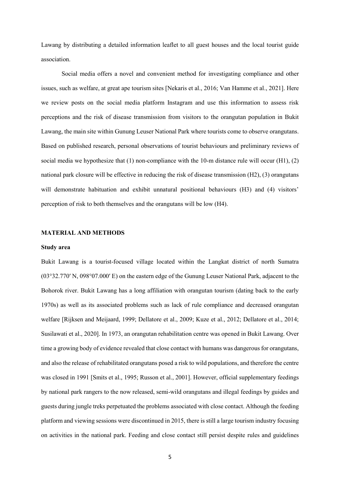Lawang by distributing a detailed information leaflet to all guest houses and the local tourist guide association.

Social media offers a novel and convenient method for investigating compliance and other issues, such as welfare, at great ape tourism sites [Nekaris et al., 2016; Van Hamme et al., 2021]. Here we review posts on the social media platform Instagram and use this information to assess risk perceptions and the risk of disease transmission from visitors to the orangutan population in Bukit Lawang, the main site within Gunung Leuser National Park where tourists come to observe orangutans. Based on published research, personal observations of tourist behaviours and preliminary reviews of social media we hypothesize that (1) non-compliance with the 10-m distance rule will occur (H1), (2) national park closure will be effective in reducing the risk of disease transmission (H2), (3) orangutans will demonstrate habituation and exhibit unnatural positional behaviours (H3) and (4) visitors' perception of risk to both themselves and the orangutans will be low (H4).

#### **MATERIAL AND METHODS**

#### **Study area**

Bukit Lawang is a tourist-focused village located within the Langkat district of north Sumatra (03°32.770′ N, 098°07.000′ E) on the eastern edge of the Gunung Leuser National Park, adjacent to the Bohorok river. Bukit Lawang has a long affiliation with orangutan tourism (dating back to the early 1970s) as well as its associated problems such as lack of rule compliance and decreased orangutan welfare [Rijksen and Meijaard, 1999; Dellatore et al., 2009; Kuze et al., 2012; Dellatore et al., 2014; Susilawati et al., 2020]. In 1973, an orangutan rehabilitation centre was opened in Bukit Lawang. Over time a growing body of evidence revealed that close contact with humans was dangerous for orangutans, and also the release of rehabilitated orangutans posed a risk to wild populations, and therefore the centre was closed in 1991 [Smits et al., 1995; Russon et al., 2001]. However, official supplementary feedings by national park rangers to the now released, semi-wild orangutans and illegal feedings by guides and guests during jungle treks perpetuated the problems associated with close contact. Although the feeding platform and viewing sessions were discontinued in 2015, there is still a large tourism industry focusing on activities in the national park. Feeding and close contact still persist despite rules and guidelines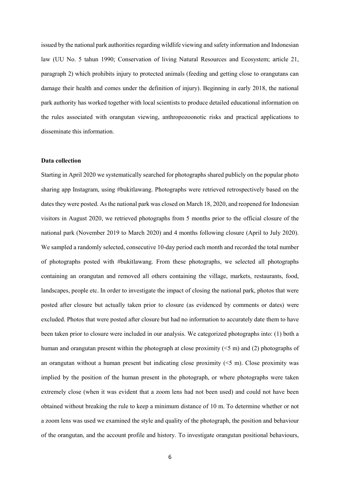issued by the national park authorities regarding wildlife viewing and safety information and Indonesian law (UU No. 5 tahun 1990; Conservation of living Natural Resources and Ecosystem; article 21, paragraph 2) which prohibits injury to protected animals (feeding and getting close to orangutans can damage their health and comes under the definition of injury). Beginning in early 2018, the national park authority has worked together with local scientists to produce detailed educational information on the rules associated with orangutan viewing, anthropozoonotic risks and practical applications to disseminate this information.

## **Data collection**

Starting in April 2020 we systematically searched for photographs shared publicly on the popular photo sharing app Instagram, using #bukitlawang. Photographs were retrieved retrospectively based on the dates they were posted. As the national park was closed on March 18, 2020, and reopened for Indonesian visitors in August 2020, we retrieved photographs from 5 months prior to the official closure of the national park (November 2019 to March 2020) and 4 months following closure (April to July 2020). We sampled a randomly selected, consecutive 10-day period each month and recorded the total number of photographs posted with #bukitlawang. From these photographs, we selected all photographs containing an orangutan and removed all others containing the village, markets, restaurants, food, landscapes, people etc. In order to investigate the impact of closing the national park, photos that were posted after closure but actually taken prior to closure (as evidenced by comments or dates) were excluded. Photos that were posted after closure but had no information to accurately date them to have been taken prior to closure were included in our analysis. We categorized photographs into: (1) both a human and orangutan present within the photograph at close proximity (<5 m) and (2) photographs of an orangutan without a human present but indicating close proximity  $(5 \text{ m})$ . Close proximity was implied by the position of the human present in the photograph, or where photographs were taken extremely close (when it was evident that a zoom lens had not been used) and could not have been obtained without breaking the rule to keep a minimum distance of 10 m. To determine whether or not a zoom lens was used we examined the style and quality of the photograph, the position and behaviour of the orangutan, and the account profile and history. To investigate orangutan positional behaviours,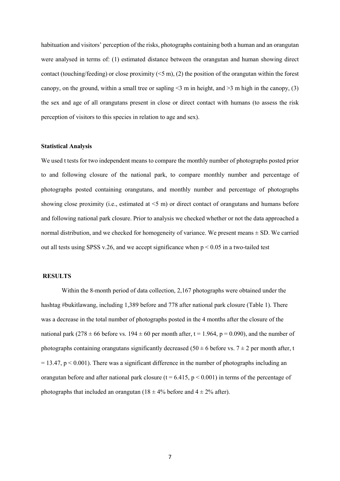habituation and visitors' perception of the risks, photographs containing both a human and an orangutan were analysed in terms of: (1) estimated distance between the orangutan and human showing direct contact (touching/feeding) or close proximity  $(\leq 5 \text{ m})$ , (2) the position of the orangutan within the forest canopy, on the ground, within a small tree or sapling  $\leq$  m in height, and  $\geq$  m high in the canopy, (3) the sex and age of all orangutans present in close or direct contact with humans (to assess the risk perception of visitors to this species in relation to age and sex).

#### **Statistical Analysis**

We used t tests for two independent means to compare the monthly number of photographs posted prior to and following closure of the national park, to compare monthly number and percentage of photographs posted containing orangutans, and monthly number and percentage of photographs showing close proximity (i.e., estimated at <5 m) or direct contact of orangutans and humans before and following national park closure. Prior to analysis we checked whether or not the data approached a normal distribution, and we checked for homogeneity of variance. We present means  $\pm$  SD. We carried out all tests using SPSS v.26, and we accept significance when  $p < 0.05$  in a two-tailed test

#### **RESULTS**

Within the 8-month period of data collection, 2,167 photographs were obtained under the hashtag #bukitlawang, including 1,389 before and 778 after national park closure (Table 1). There was a decrease in the total number of photographs posted in the 4 months after the closure of the national park (278  $\pm$  66 before vs. 194  $\pm$  60 per month after, t = 1.964, p = 0.090), and the number of photographs containing orangutans significantly decreased (50  $\pm$  6 before vs. 7  $\pm$  2 per month after, t  $= 13.47$ ,  $p < 0.001$ ). There was a significant difference in the number of photographs including an orangutan before and after national park closure ( $t = 6.415$ ,  $p < 0.001$ ) in terms of the percentage of photographs that included an orangutan (18  $\pm$  4% before and 4  $\pm$  2% after).

7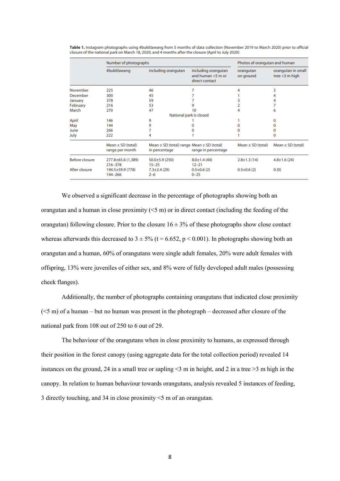|                       | Number of photographs                    |                                                                    |                                                               | Photos of orangutan and human |                                         |
|-----------------------|------------------------------------------|--------------------------------------------------------------------|---------------------------------------------------------------|-------------------------------|-----------------------------------------|
|                       | #bukitlawang                             | including orangutan                                                | including orangutan<br>and human $<$ 5 m or<br>direct contact | orangutan<br>on ground        | orangutan in small<br>tree $<$ 3 m high |
| November              | 225                                      | 46                                                                 |                                                               |                               | 3                                       |
| December              | 300                                      | 45                                                                 |                                                               |                               |                                         |
| January               | 378                                      | 59                                                                 |                                                               |                               | 4                                       |
| February              | 216                                      | 53                                                                 |                                                               |                               | 7                                       |
| March                 | 270                                      | 47                                                                 | 10                                                            |                               | 6                                       |
|                       |                                          |                                                                    | National park is closed                                       |                               |                                         |
| April                 | 146                                      | 9                                                                  |                                                               |                               | 0                                       |
| May                   | 144                                      | 9                                                                  |                                                               |                               | 0                                       |
| June                  | 266                                      |                                                                    |                                                               |                               | 0                                       |
| July                  | 222                                      |                                                                    |                                                               |                               | 0                                       |
|                       | Mean $\pm$ SD (total)<br>range per month | Mean $\pm$ SD (total) range Mean $\pm$ SD (total)<br>in percentage | range in percentage                                           | Mean $\pm$ SD (total)         | Mean $\pm$ SD (total)                   |
| <b>Before closure</b> | 277.8±65.6 (1,389)<br>216-378            | $50.0 \pm 5.9$ (250)<br>$15 - 25$                                  | $8.0 \pm 1.4(40)$<br>$12 - 21$                                | $2.8 \pm 1.3$ (14)            | $4.8 \pm 1.6$ (24)                      |
| After closure         | 194.5±59.9 (778)<br>144-266              | $7.3 \pm 2.4$ (29)<br>$2 - 6$                                      | $0.5 \pm 0.6$ (2)<br>$0 - 25$                                 | $0.5 \pm 0.6$ (2)             | 0(0)                                    |

Table 1. Instagram photographs using #bukitlawang from 5 months of data collection (November 2019 to March 2020) prior to official closure of the national park on March 18, 2020, and 4 months after the closure (April to July 2020)

We observed a significant decrease in the percentage of photographs showing both an orangutan and a human in close proximity  $(5 \text{ m})$  or in direct contact (including the feeding of the orangutan) following closure. Prior to the closure  $16 \pm 3\%$  of these photographs show close contact whereas afterwards this decreased to  $3 \pm 5\%$  (t = 6.652, p < 0.001). In photographs showing both an orangutan and a human, 60% of orangutans were single adult females, 20% were adult females with offspring, 13% were juveniles of either sex, and 8% were of fully developed adult males (possessing cheek flanges).

Additionally, the number of photographs containing orangutans that indicated close proximity  $(<5$  m) of a human – but no human was present in the photograph – decreased after closure of the national park from 108 out of 250 to 6 out of 29.

The behaviour of the orangutans when in close proximity to humans, as expressed through their position in the forest canopy (using aggregate data for the total collection period) revealed 14 instances on the ground, 24 in a small tree or sapling  $\leq$  m in height, and 2 in a tree  $\geq$  m high in the canopy. In relation to human behaviour towards orangutans, analysis revealed 5 instances of feeding, 3 directly touching, and 34 in close proximity <5 m of an orangutan.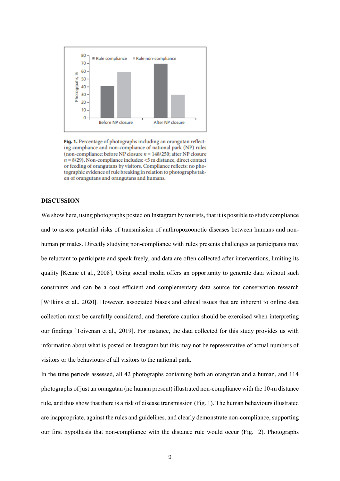

Fig. 1. Percentage of photographs including an orangutan reflecting compliance and non-compliance of national park (NP) rules (non-compliance: before NP closure  $n = 148/250$ ; after NP closure  $n = 8/29$ ). Non-compliance includes: <5 m distance, direct contact or feeding of orangutans by visitors. Compliance reflects: no photographic evidence of rule breaking in relation to photographs taken of orangutans and orangutans and humans.

# **DISCUSSION**

We show here, using photographs posted on Instagram by tourists, that it is possible to study compliance and to assess potential risks of transmission of anthropozoonotic diseases between humans and nonhuman primates. Directly studying non-compliance with rules presents challenges as participants may be reluctant to participate and speak freely, and data are often collected after interventions, limiting its quality [Keane et al., 2008]. Using social media offers an opportunity to generate data without such constraints and can be a cost efficient and complementary data source for conservation research [Wilkins et al., 2020]. However, associated biases and ethical issues that are inherent to online data collection must be carefully considered, and therefore caution should be exercised when interpreting our findings [Toivenan et al., 2019]. For instance, the data collected for this study provides us with information about what is posted on Instagram but this may not be representative of actual numbers of visitors or the behaviours of all visitors to the national park.

In the time periods assessed, all 42 photographs containing both an orangutan and a human, and 114 photographs of just an orangutan (no human present) illustrated non-compliance with the 10-m distance rule, and thus show that there is a risk of disease transmission (Fig. 1). The human behaviours illustrated are inappropriate, against the rules and guidelines, and clearly demonstrate non-compliance, supporting our first hypothesis that non-compliance with the distance rule would occur (Fig. 2). Photographs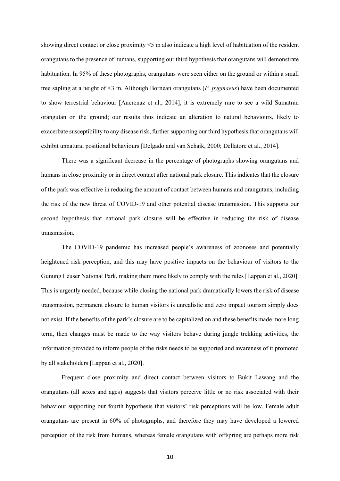showing direct contact or close proximity <5 m also indicate a high level of habituation of the resident orangutans to the presence of humans, supporting our third hypothesis that orangutans will demonstrate habituation. In 95% of these photographs, orangutans were seen either on the ground or within a small tree sapling at a height of <3 m. Although Bornean orangutans (*P. pygmaeus*) have been documented to show terrestrial behaviour [Ancrenaz et al., 2014], it is extremely rare to see a wild Sumatran orangutan on the ground; our results thus indicate an alteration to natural behaviours, likely to exacerbate susceptibility to any disease risk, further supporting our third hypothesis that orangutans will exhibit unnatural positional behaviours [Delgado and van Schaik, 2000; Dellatore et al., 2014].

There was a significant decrease in the percentage of photographs showing orangutans and humans in close proximity or in direct contact after national park closure. This indicates that the closure of the park was effective in reducing the amount of contact between humans and orangutans, including the risk of the new threat of COVID-19 and other potential disease transmission. This supports our second hypothesis that national park closure will be effective in reducing the risk of disease transmission.

The COVID-19 pandemic has increased people's awareness of zoonoses and potentially heightened risk perception, and this may have positive impacts on the behaviour of visitors to the Gunung Leuser National Park, making them more likely to comply with the rules [Lappan et al., 2020]. This is urgently needed, because while closing the national park dramatically lowers the risk of disease transmission, permanent closure to human visitors is unrealistic and zero impact tourism simply does not exist. If the benefits of the park's closure are to be capitalized on and these benefits made more long term, then changes must be made to the way visitors behave during jungle trekking activities, the information provided to inform people of the risks needs to be supported and awareness of it promoted by all stakeholders [Lappan et al., 2020].

Frequent close proximity and direct contact between visitors to Bukit Lawang and the orangutans (all sexes and ages) suggests that visitors perceive little or no risk associated with their behaviour supporting our fourth hypothesis that visitors' risk perceptions will be low. Female adult orangutans are present in 60% of photographs, and therefore they may have developed a lowered perception of the risk from humans, whereas female orangutans with offspring are perhaps more risk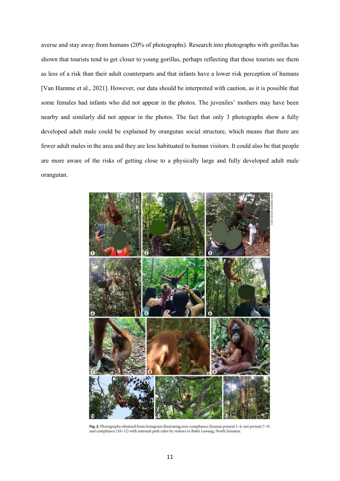averse and stay away from humans (20% of photographs). Research into photographs with gorillas has shown that tourists tend to get closer to young gorillas, perhaps reflecting that those tourists see them as less of a risk than their adult counterparts and that infants have a lower risk perception of humans [Van Hamme et al., 2021]. However, our data should be interpreted with caution, as it is possible that some females had infants who did not appear in the photos. The juveniles' mothers may have been nearby and similarly did not appear in the photos. The fact that only 3 photographs show a fully developed adult male could be explained by orangutan social structure, which means that there are fewer adult males in the area and they are less habituated to human visitors. It could also be that people are more aware of the risks of getting close to a physically large and fully developed adult male orangutan.



Fig. 2. Photographs obtained from Instagram illustrating non-compliance (human present 1-6, not present 7-9) and compliance (10-12) with national park rules by visitors to Bukit Lawang, North Sumatra.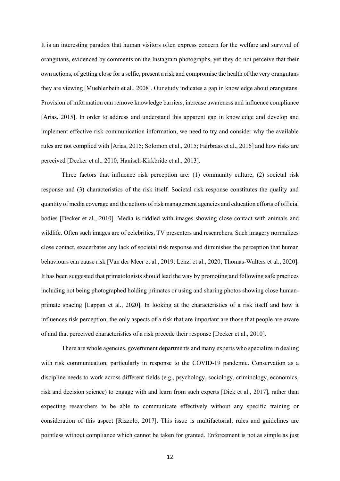It is an interesting paradox that human visitors often express concern for the welfare and survival of orangutans, evidenced by comments on the Instagram photographs, yet they do not perceive that their own actions, of getting close for a selfie, present a risk and compromise the health of the very orangutans they are viewing [Muehlenbein et al., 2008]. Our study indicates a gap in knowledge about orangutans. Provision of information can remove knowledge barriers, increase awareness and influence compliance [Arias, 2015]. In order to address and understand this apparent gap in knowledge and develop and implement effective risk communication information, we need to try and consider why the available rules are not complied with [Arias, 2015; Solomon et al., 2015; Fairbrass et al., 2016] and how risks are perceived [Decker et al., 2010; Hanisch-Kirkbride et al., 2013].

Three factors that influence risk perception are: (1) community culture, (2) societal risk response and (3) characteristics of the risk itself. Societal risk response constitutes the quality and quantity of media coverage and the actions of risk management agencies and education efforts of official bodies [Decker et al., 2010]. Media is riddled with images showing close contact with animals and wildlife. Often such images are of celebrities, TV presenters and researchers. Such imagery normalizes close contact, exacerbates any lack of societal risk response and diminishes the perception that human behaviours can cause risk [Van der Meer et al., 2019; Lenzi et al., 2020; Thomas-Walters et al., 2020]. It has been suggested that primatologists should lead the way by promoting and following safe practices including not being photographed holding primates or using and sharing photos showing close humanprimate spacing [Lappan et al., 2020]. In looking at the characteristics of a risk itself and how it influences risk perception, the only aspects of a risk that are important are those that people are aware of and that perceived characteristics of a risk precede their response [Decker et al., 2010].

There are whole agencies, government departments and many experts who specialize in dealing with risk communication, particularly in response to the COVID-19 pandemic. Conservation as a discipline needs to work across different fields (e.g., psychology, sociology, criminology, economics, risk and decision science) to engage with and learn from such experts [Dick et al., 2017], rather than expecting researchers to be able to communicate effectively without any specific training or consideration of this aspect [Rizzolo, 2017]. This issue is multifactorial; rules and guidelines are pointless without compliance which cannot be taken for granted. Enforcement is not as simple as just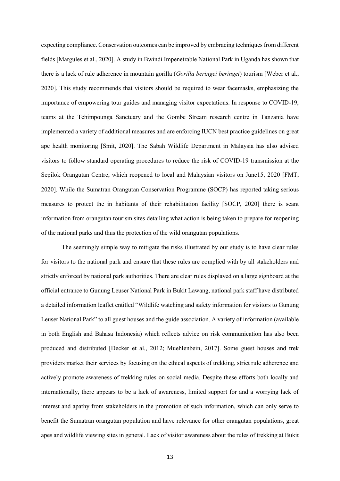expecting compliance. Conservation outcomes can be improved by embracing techniques from different fields [Margules et al., 2020]. A study in Bwindi Impenetrable National Park in Uganda has shown that there is a lack of rule adherence in mountain gorilla (*Gorilla beringei beringei*) tourism [Weber et al., 2020]. This study recommends that visitors should be required to wear facemasks, emphasizing the importance of empowering tour guides and managing visitor expectations. In response to COVID-19, teams at the Tchimpounga Sanctuary and the Gombe Stream research centre in Tanzania have implemented a variety of additional measures and are enforcing IUCN best practice guidelines on great ape health monitoring [Smit, 2020]. The Sabah Wildlife Department in Malaysia has also advised visitors to follow standard operating procedures to reduce the risk of COVID-19 transmission at the Sepilok Orangutan Centre, which reopened to local and Malaysian visitors on June15, 2020 [FMT, 2020]. While the Sumatran Orangutan Conservation Programme (SOCP) has reported taking serious measures to protect the in habitants of their rehabilitation facility [SOCP, 2020] there is scant information from orangutan tourism sites detailing what action is being taken to prepare for reopening of the national parks and thus the protection of the wild orangutan populations.

The seemingly simple way to mitigate the risks illustrated by our study is to have clear rules for visitors to the national park and ensure that these rules are complied with by all stakeholders and strictly enforced by national park authorities. There are clear rules displayed on a large signboard at the official entrance to Gunung Leuser National Park in Bukit Lawang, national park staff have distributed a detailed information leaflet entitled "Wildlife watching and safety information for visitors to Gunung Leuser National Park" to all guest houses and the guide association. A variety of information (available in both English and Bahasa Indonesia) which reflects advice on risk communication has also been produced and distributed [Decker et al., 2012; Muehlenbein, 2017]. Some guest houses and trek providers market their services by focusing on the ethical aspects of trekking, strict rule adherence and actively promote awareness of trekking rules on social media. Despite these efforts both locally and internationally, there appears to be a lack of awareness, limited support for and a worrying lack of interest and apathy from stakeholders in the promotion of such information, which can only serve to benefit the Sumatran orangutan population and have relevance for other orangutan populations, great apes and wildlife viewing sites in general. Lack of visitor awareness about the rules of trekking at Bukit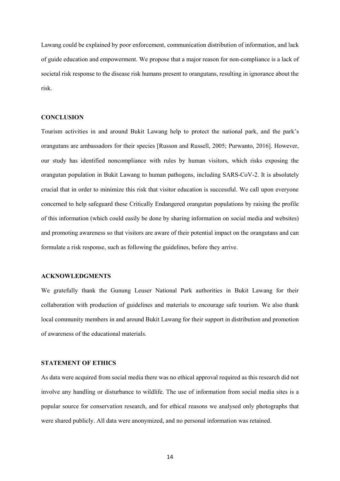Lawang could be explained by poor enforcement, communication distribution of information, and lack of guide education and empowerment. We propose that a major reason for non-compliance is a lack of societal risk response to the disease risk humans present to orangutans, resulting in ignorance about the risk.

## **CONCLUSION**

Tourism activities in and around Bukit Lawang help to protect the national park, and the park's orangutans are ambassadors for their species [Russon and Russell, 2005; Purwanto, 2016]. However, our study has identified noncompliance with rules by human visitors, which risks exposing the orangutan population in Bukit Lawang to human pathogens, including SARS-CoV-2. It is absolutely crucial that in order to minimize this risk that visitor education is successful. We call upon everyone concerned to help safeguard these Critically Endangered orangutan populations by raising the profile of this information (which could easily be done by sharing information on social media and websites) and promoting awareness so that visitors are aware of their potential impact on the orangutans and can formulate a risk response, such as following the guidelines, before they arrive.

#### **ACKNOWLEDGMENTS**

We gratefully thank the Gunung Leuser National Park authorities in Bukit Lawang for their collaboration with production of guidelines and materials to encourage safe tourism. We also thank local community members in and around Bukit Lawang for their support in distribution and promotion of awareness of the educational materials.

# **STATEMENT OF ETHICS**

As data were acquired from social media there was no ethical approval required as this research did not involve any handling or disturbance to wildlife. The use of information from social media sites is a popular source for conservation research, and for ethical reasons we analysed only photographs that were shared publicly. All data were anonymized, and no personal information was retained.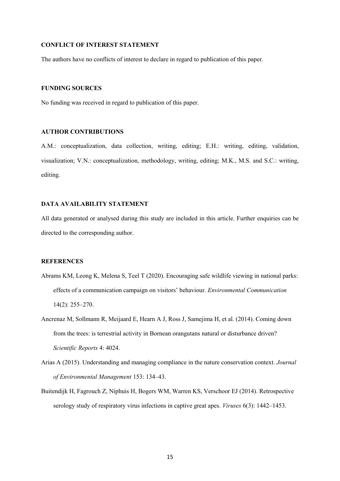#### **CONFLICT OF INTEREST STATEMENT**

The authors have no conflicts of interest to declare in regard to publication of this paper.

## **FUNDING SOURCES**

No funding was received in regard to publication of this paper.

## **AUTHOR CONTRIBUTIONS**

A.M.: conceptualization, data collection, writing, editing; E.H.: writing, editing, validation, visualization; V.N.: conceptualization, methodology, writing, editing; M.K., M.S. and S.C.: writing, editing.

## **DATA AVAILABILITY STATEMENT**

All data generated or analysed during this study are included in this article. Further enquiries can be directed to the corresponding author.

# **REFERENCES**

- Abrams KM, Leong K, Melena S, Teel T (2020). Encouraging safe wildlife viewing in national parks: effects of a communication campaign on visitors' behaviour. *Environmental Communication* 14(2): 255–270.
- Ancrenaz M, Sollmann R, Meijaard E, Hearn A J, Ross J, Samejima H, et al. (2014). Coming down from the trees: is terrestrial activity in Bornean orangutans natural or disturbance driven? *Scientific Reports* 4: 4024.
- Arias A (2015). Understanding and managing compliance in the nature conservation context. *Journal of Environmental Management* 153: 134–43.
- Buitendijk H, Fagrouch Z, Niphuis H, Bogers WM, Warren KS, Verschoor EJ (2014). Retrospective serology study of respiratory virus infections in captive great apes. *Viruses* 6(3): 1442–1453.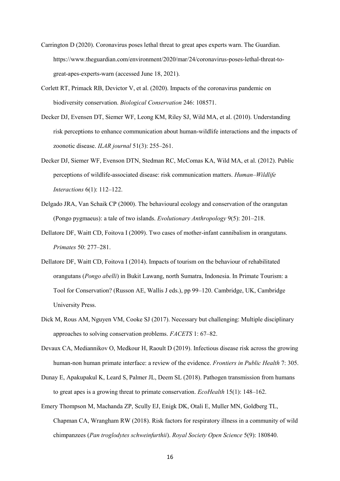- Carrington D (2020). Coronavirus poses lethal threat to great apes experts warn. The Guardian. https://www.theguardian.com/environment/2020/mar/24/coronavirus-poses-lethal-threat-togreat-apes-experts-warn (accessed June 18, 2021).
- Corlett RT, Primack RB, Devictor V, et al. (2020). Impacts of the coronavirus pandemic on biodiversity conservation. *Biological Conservation* 246: 108571.
- Decker DJ, Evensen DT, Siemer WF, Leong KM, Riley SJ, Wild MA, et al. (2010). Understanding risk perceptions to enhance communication about human-wildlife interactions and the impacts of zoonotic disease. *ILAR journal* 51(3): 255–261.
- Decker DJ, Siemer WF, Evenson DTN, Stedman RC, McComas KA, Wild MA, et al. (2012). Public perceptions of wildlife-associated disease: risk communication matters. *Human–Wildlife Interactions* 6(1): 112–122.
- Delgado JRA, Van Schaik CP (2000). The behavioural ecology and conservation of the orangutan (Pongo pygmaeus): a tale of two islands. *Evolutionary Anthropology* 9(5): 201–218.
- Dellatore DF, Waitt CD, Foitova I (2009). Two cases of mother-infant cannibalism in orangutans. *Primates* 50: 277–281.
- Dellatore DF, Waitt CD, Foitova I (2014). Impacts of tourism on the behaviour of rehabilitated orangutans (*Pongo abelli*) in Bukit Lawang, north Sumatra, Indonesia. In Primate Tourism: a Tool for Conservation? (Russon AE, Wallis J eds.), pp 99–120. Cambridge, UK, Cambridge University Press.
- Dick M, Rous AM, Nguyen VM, Cooke SJ (2017). Necessary but challenging: Multiple disciplinary approaches to solving conservation problems. *FACETS* 1: 67–82.
- Devaux CA, Mediannikov O, Medkour H, Raoult D (2019). Infectious disease risk across the growing human-non human primate interface: a review of the evidence. *Frontiers in Public Health* 7: 305.
- Dunay E, Apakupakul K, Leard S, Palmer JL, Deem SL (2018). Pathogen transmission from humans to great apes is a growing threat to primate conservation. *EcoHealth* 15(1): 148–162.
- Emery Thompson M, Machanda ZP, Scully EJ, Enigk DK, Otali E, Muller MN, Goldberg TL, Chapman CA, Wrangham RW (2018). Risk factors for respiratory illness in a community of wild chimpanzees (*Pan troglodytes schweinfurthii*). *Royal Society Open Science* 5(9): 180840.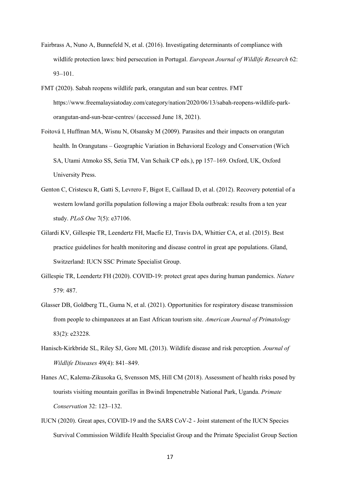- Fairbrass A, Nuno A, Bunnefeld N, et al. (2016). Investigating determinants of compliance with wildlife protection laws: bird persecution in Portugal. *European Journal of Wildlife Research* 62: 93–101.
- FMT (2020). Sabah reopens wildlife park, orangutan and sun bear centres. FMT https://www.freemalaysiatoday.com/category/nation/2020/06/13/sabah-reopens-wildlife-parkorangutan-and-sun-bear-centres/ (accessed June 18, 2021).
- Foitová I, Huffman MA, Wisnu N, Olsansky M (2009). Parasites and their impacts on orangutan health. In Orangutans – Geographic Variation in Behavioral Ecology and Conservation (Wich SA, Utami Atmoko SS, Setia TM, Van Schaik CP eds.), pp 157–169. Oxford, UK, Oxford University Press.
- Genton C, Cristescu R, Gatti S, Levrero F, Bigot E, Caillaud D, et al. (2012). Recovery potential of a western lowland gorilla population following a major Ebola outbreak: results from a ten year study. *PLoS One* 7(5): e37106.
- Gilardi KV, Gillespie TR, Leendertz FH, Macfie EJ, Travis DA, Whittier CA, et al. (2015). Best practice guidelines for health monitoring and disease control in great ape populations. Gland, Switzerland: IUCN SSC Primate Specialist Group.
- Gillespie TR, Leendertz FH (2020). COVID-19: protect great apes during human pandemics. *Nature* 579: 487.
- Glasser DB, Goldberg TL, Guma N, et al. (2021). Opportunities for respiratory disease transmission from people to chimpanzees at an East African tourism site. *American Journal of Primatology* 83(2): e23228.
- Hanisch-Kirkbride SL, Riley SJ, Gore ML (2013). Wildlife disease and risk perception. *Journal of Wildlife Diseases* 49(4): 841–849.
- Hanes AC, Kalema-Zikusoka G, Svensson MS, Hill CM (2018). Assessment of health risks posed by tourists visiting mountain gorillas in Bwindi Impenetrable National Park, Uganda. *Primate Conservation* 32: 123–132.
- IUCN (2020). Great apes, COVID-19 and the SARS CoV-2 Joint statement of the IUCN Species Survival Commission Wildlife Health Specialist Group and the Primate Specialist Group Section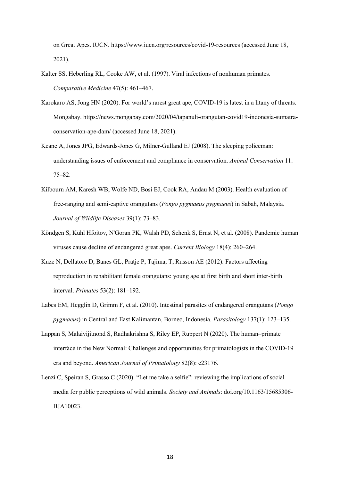on Great Apes. IUCN. https://www.iucn.org/resources/covid-19-resources (accessed June 18, 2021).

- Kalter SS, Heberling RL, Cooke AW, et al. (1997). Viral infections of nonhuman primates. *Comparative Medicine* 47(5): 461–467.
- Karokaro AS, Jong HN (2020). For world's rarest great ape, COVID-19 is latest in a litany of threats. Mongabay. https://news.mongabay.com/2020/04/tapanuli-orangutan-covid19-indonesia-sumatraconservation-ape-dam/ (accessed June 18, 2021).
- Keane A, Jones JPG, Edwards-Jones G, Milner-Gulland EJ (2008). The sleeping policeman: understanding issues of enforcement and compliance in conservation. *Animal Conservation* 11: 75–82.
- Kilbourn AM, Karesh WB, Wolfe ND, Bosi EJ, Cook RA, Andau M (2003). Health evaluation of free-ranging and semi-captive orangutans (*Pongo pygmaeus pygmaeus*) in Sabah, Malaysia. *Journal of Wildlife Diseases* 39(1): 73–83.
- Köndgen S, Kühl Hfoitov, N'Goran PK, Walsh PD, Schenk S, Ernst N, et al. (2008). Pandemic human viruses cause decline of endangered great apes. *Current Biology* 18(4): 260–264.
- Kuze N, Dellatore D, Banes GL, Pratje P, Tajima, T, Russon AE (2012). Factors affecting reproduction in rehabilitant female orangutans: young age at first birth and short inter-birth interval. *Primates* 53(2): 181–192.
- Labes EM, Hegglin D, Grimm F, et al. (2010). Intestinal parasites of endangered orangutans (*Pongo pygmaeus*) in Central and East Kalimantan, Borneo, Indonesia. *Parasitology* 137(1): 123–135.
- Lappan S, Malaivijitnond S, Radhakrishna S, Riley EP, Ruppert N (2020). The human–primate interface in the New Normal: Challenges and opportunities for primatologists in the COVID‐19 era and beyond. *American Journal of Primatology* 82(8): e23176.
- Lenzi C, Speiran S, Grasso C (2020). "Let me take a selfie": reviewing the implications of social media for public perceptions of wild animals. *Society and Animals*: doi.org/10.1163/15685306- BJA10023.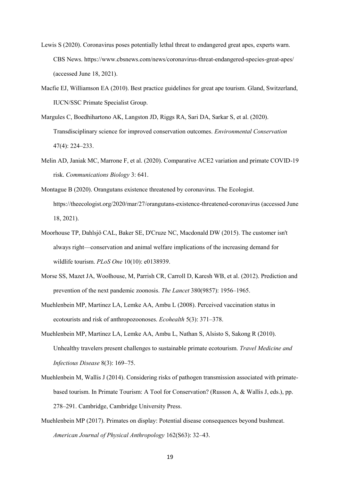- Lewis S (2020). Coronavirus poses potentially lethal threat to endangered great apes, experts warn. CBS News. https://www.cbsnews.com/news/coronavirus-threat-endangered-species-great-apes/ (accessed June 18, 2021).
- Macfie EJ, Williamson EA (2010). Best practice guidelines for great ape tourism. Gland, Switzerland, IUCN/SSC Primate Specialist Group.
- Margules C, Boedhihartono AK, Langston JD, Riggs RA, Sari DA, Sarkar S, et al. (2020). Transdisciplinary science for improved conservation outcomes. *Environmental Conservation* 47(4): 224–233.
- Melin AD, Janiak MC, Marrone F, et al. (2020). Comparative ACE2 variation and primate COVID-19 risk. *Communications Biology* 3: 641.
- Montague B (2020). Orangutans existence threatened by coronavirus. The Ecologist. https://theecologist.org/2020/mar/27/orangutans-existence-threatened-coronavirus (accessed June 18, 2021).
- Moorhouse TP, Dahlsjö CAL, Baker SE, D'Cruze NC, Macdonald DW (2015). The customer isn't always right—conservation and animal welfare implications of the increasing demand for wildlife tourism. *PLoS One* 10(10): e0138939.
- Morse SS, Mazet JA, Woolhouse, M, Parrish CR, Carroll D, Karesh WB, et al. (2012). Prediction and prevention of the next pandemic zoonosis. *The Lancet* 380(9857): 1956–1965.
- Muehlenbein MP, Martinez LA, Lemke AA, Ambu L (2008). Perceived vaccination status in ecotourists and risk of anthropozoonoses. *Ecohealth* 5(3): 371–378.
- Muehlenbein MP, Martinez LA, Lemke AA, Ambu L, Nathan S, Alsisto S, Sakong R (2010). Unhealthy travelers present challenges to sustainable primate ecotourism. *Travel Medicine and Infectious Disease* 8(3): 169–75.
- Muehlenbein M, Wallis J (2014). Considering risks of pathogen transmission associated with primatebased tourism. In Primate Tourism: A Tool for Conservation? (Russon A, & Wallis J, eds.), pp. 278–291. Cambridge, Cambridge University Press.
- Muehlenbein MP (2017). Primates on display: Potential disease consequences beyond bushmeat. *American Journal of Physical Anthropology* 162(S63): 32–43.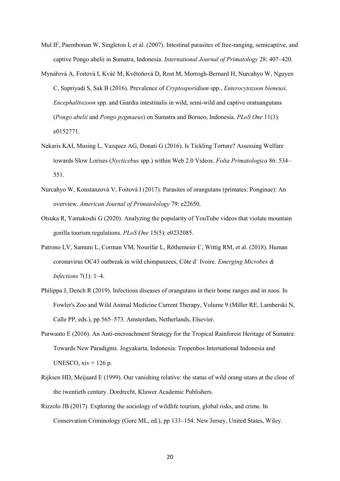- Mul IF, Paembonan W, Singleton I, et al. (2007). Intestinal parasites of free-ranging, semicaptive, and captive Pongo abelii in Sumatra, Indonesia. *International Journal of Primatology* 28: 407–420.
- Mynářová A, Foitová I, Kváč M, Květoňová D, Rost M, Morrogh-Bernard H, Nurcahyo W, Nguyen C, Supriyadi S, Sak B (2016). Prevalence of *Cryptosporidium* spp., *Enterocytozoon bieneusi, Encephalitozoon* spp. and Giardia intestinalis in wild, semi-wild and captive oratuangutans (*Pongo abelii* and *Pongo pygmaeus*) on Sumatra and Borneo, Indonesia. *PLoS One* 11(3): e0152771.
- Nekaris KAI, Musing L, Vazquez AG, Donati G (2016). Is Tickling Torture? Assessing Welfare towards Slow Lorises (*Nycticebus* spp.) within Web 2.0 Videos. *Folia Primatologica* 86: 534– 551.
- Nurcahyo W, Konstanzová V, Foitová I (2017). Parasites of orangutans (primates: Ponginae): An overview. *American Journal of Primatolology* 79: e22650.
- Otsuka R, Yamakoshi G (2020). Analyzing the popularity of YouTube videos that violate mountain gorilla tourism regulations. *PLoS One* 15(5): e0232085.
- Patrono LV, Samuni L, Corman VM, Nourifar L, Röthemeier C, Wittig RM, et al. (2018). Human coronavirus OC43 outbreak in wild chimpanzees, Côte d´ Ivoire. *Emerging Microbes & Infections* 7(1): 1–4.
- Philippa J, Dench R (2019). Infectious diseases of orangutans in their home ranges and in zoos. In Fowler's Zoo and Wild Animal Medicine Current Therapy, Volume 9 (Miller RE, Lamberski N, Calle PP, eds.), pp 565–573. Amsterdam, Netherlands, Elsevier.
- Purwanto E (2016). An Anti-encroachment Strategy for the Tropical Rainforest Heritage of Sumatra: Towards New Paradigms. Jogyakarta, Indonesia: Tropenbos International Indonesia and UNESCO,  $xiv + 126p$ .
- Rijksen HD, Meijaard E (1999). Our vanishing relative: the status of wild orang-utans at the close of the twentieth century. Dordrecht, Kluwer Academic Publishers.
- Rizzolo JB (2017). Exploring the sociology of wildlife tourism, global risks, and crime. In Conservation Criminology (Gore ML, ed.), pp 133–154. New Jersey, United States, Wiley.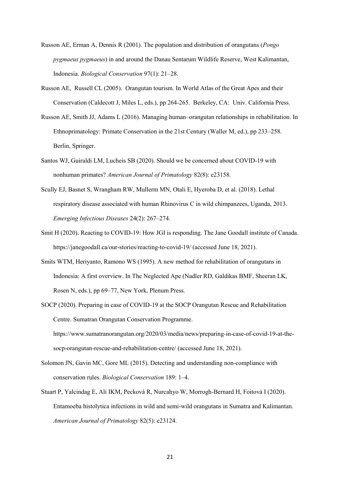- Russon AE, Erman A, Dennis R (2001). The population and distribution of orangutans (*Pongo pygmaeus pygmaeus*) in and around the Danau Sentarum Wildlife Reserve, West Kalimantan, Indonesia. *Biological Conservation* 97(1): 21–28.
- Russon AE, Russell CL (2005). Orangutan tourism. In World Atlas of the Great Apes and their Conservation (Caldecott J, Miles L, eds.), pp 264-265. Berkeley, CA: Univ. California Press.
- Russon AE, Smith JJ, Adams L (2016). Managing human–orangutan relationships in rehabilitation. In Ethnoprimatology: Primate Conservation in the 21st Century (Waller M, ed.), pp 233–258. Berlin, Springer.
- Santos WJ, Guiraldi LM, Lucheis SB (2020). Should we be concerned about COVID‐19 with nonhuman primates? *American Journal of Primatology* 82(8): e23158.
- Scully EJ, Basnet S, Wrangham RW, Mullerm MN, Otali E, Hyeroba D, et al. (2018). Lethal respiratory disease associated with human Rhinovirus C in wild chimpanzees, Uganda, 2013. *Emerging Infectious Diseases* 24(2): 267–274.
- Smit H (2020). Reacting to COVID-19: How JGI is responding. The Jane Goodall institute of Canada. https://janegoodall.ca/our-stories/reacting-to-covid-19/ (accessed June 18, 2021).
- Smits WTM, Heriyanto, Ramono WS (1995). A new method for rehabilitation of orangutans in Indonesia: A first overview. In The Neglected Ape (Nadler RD, Galdikas BMF, Sheeran LK, Rosen N, eds.), pp 69–77, New York, Plenum Press.
- SOCP (2020). Preparing in case of COVID-19 at the SOCP Orangutan Rescue and Rehabilitation Centre. Sumatran Orangutan Conservation Programme. https://www.sumatranorangutan.org/2020/03/media/news/preparing-in-case-of-covid-19-at-thesocp-orangutan-rescue-and-rehabilitation-centre/ (accessed June 18, 2021).
- Solomon JN, Gavin MC, Gore ML (2015). Detecting and understanding non-compliance with conservation rules. *Biological Conservation* 189: 1–4.
- Stuart P, Yalcindag E, Ali IKM, Pecková R, Nurcahyo W, Morrogh-Bernard H, Foitová I (2020). Entamoeba histolytica infections in wild and semi-wild orangutans in Sumatra and Kalimantan. *American Journal of Primatology* 82(5): e23124.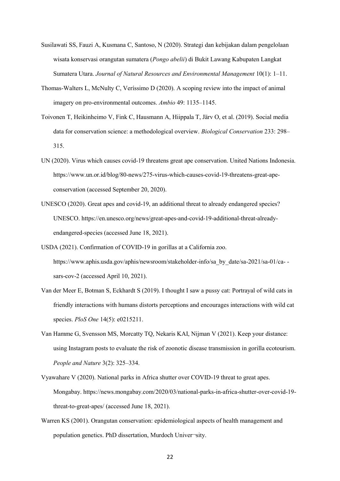- Susilawati SS, Fauzi A, Kusmana C, Santoso, N (2020). Strategi dan kebijakan dalam pengelolaan wisata konservasi orangutan sumatera (*Pongo abelii*) di Bukit Lawang Kabupaten Langkat Sumatera Utara. *Journal of Natural Resources and Environmental Management* 10(1): 1–11.
- Thomas-Walters L, McNulty C, Veríssimo D (2020). A scoping review into the impact of animal imagery on pro-environmental outcomes. *Ambio* 49: 1135–1145.
- Toivonen T, Heikinheimo V, Fink C, Hausmann A, Hiippala T, Järv O, et al. (2019). Social media data for conservation science: a methodological overview. *Biological Conservation* 233: 298– 315.
- UN (2020). Virus which causes covid-19 threatens great ape conservation. United Nations Indonesia. https://www.un.or.id/blog/80-news/275-virus-which-causes-covid-19-threatens-great-apeconservation (accessed September 20, 2020).
- UNESCO (2020). Great apes and covid-19, an additional threat to already endangered species? UNESCO. https://en.unesco.org/news/great-apes-and-covid-19-additional-threat-alreadyendangered-species (accessed June 18, 2021).
- USDA (2021). Confirmation of COVID-19 in gorillas at a California zoo. https://www.aphis.usda.gov/aphis/newsroom/stakeholder-info/sa\_by\_date/sa-2021/sa-01/ca- sars-cov-2 (accessed April 10, 2021).
- Van der Meer E, Botman S, Eckhardt S (2019). I thought I saw a pussy cat: Portrayal of wild cats in friendly interactions with humans distorts perceptions and encourages interactions with wild cat species. *PloS One* 14(5): e0215211.
- Van Hamme G, Svensson MS, Morcatty TQ, Nekaris KAI, Nijman V (2021). Keep your distance: using Instagram posts to evaluate the risk of zoonotic disease transmission in gorilla ecotourism. *People and Nature* 3(2): 325–334.
- Vyawahare V (2020). National parks in Africa shutter over COVID-19 threat to great apes. Mongabay. https://news.mongabay.com/2020/03/national-parks-in-africa-shutter-over-covid-19 threat-to-great-apes/ (accessed June 18, 2021).
- Warren KS (2001). Orangutan conservation: epidemiological aspects of health management and population genetics. PhD dissertation, Murdoch Univer¬sity.